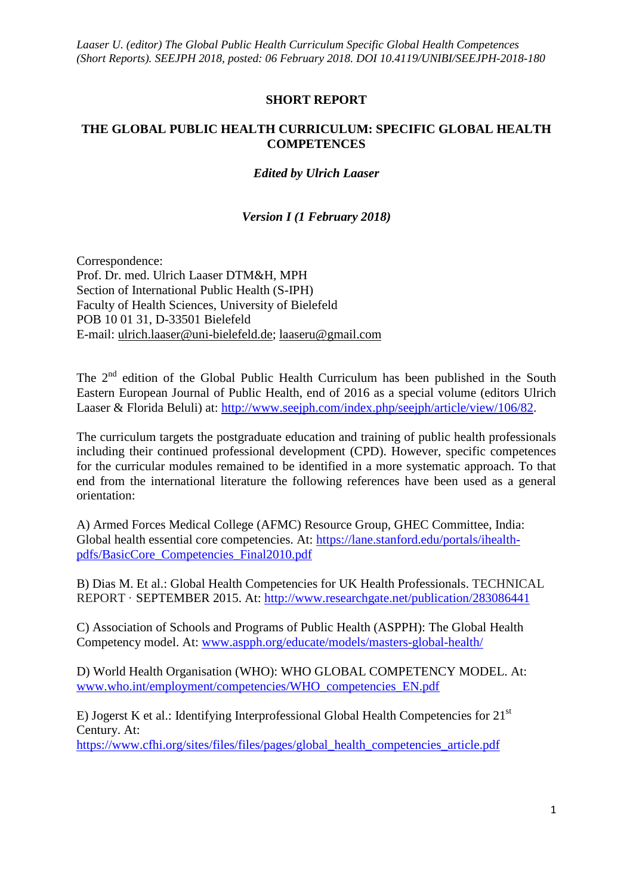*Laaser U. (editor) The Global Public Health Curriculum Specific Global Health Competences (Short Reports). SEEJPH 2018, posted: 06 February 2018. DOI 10.4119/UNIBI/SEEJPH-2018-180*

#### **SHORT REPORT**

### **THE GLOBAL PUBLIC HEALTH CURRICULUM: SPECIFIC GLOBAL HEALTH COMPETENCES**

### *Edited by Ulrich Laaser*

#### *Version I (1 February 2018)*

Correspondence: Prof. Dr. med. Ulrich Laaser DTM&H, MPH Section of International Public Health (S-IPH) Faculty of Health Sciences, University of Bielefeld POB 10 01 31, D-33501 Bielefeld E-mail: [ulrich.laaser@uni-bielefeld.de;](mailto:ulrich.laaser@uni-bielefeld.de) [laaseru@gmail.com](mailto:laaseru@gmail.com)

The 2<sup>nd</sup> edition of the Global Public Health Curriculum has been published in the South Eastern European Journal of Public Health, end of 2016 as a special volume (editors Ulrich Laaser & Florida Beluli) at: [http://www.seejph.com/index.php/seejph/article/view/106/82.](http://www.seejph.com/index.php/seejph/article/view/106/82)

The curriculum targets the postgraduate education and training of public health professionals including their continued professional development (CPD). However, specific competences for the curricular modules remained to be identified in a more systematic approach. To that end from the international literature the following references have been used as a general orientation:

A) Armed Forces Medical College (AFMC) Resource Group, GHEC Committee, India: Global health essential core competencies. At: [https://lane.stanford.edu/portals/ihealth](https://lane.stanford.edu/portals/ihealth-pdfs/BasicCore_Competencies_Final2010.pdf)[pdfs/BasicCore\\_Competencies\\_Final2010.pdf](https://lane.stanford.edu/portals/ihealth-pdfs/BasicCore_Competencies_Final2010.pdf)

B) Dias M. Et al.: Global Health Competencies for UK Health Professionals. TECHNICAL REPORT · SEPTEMBER 2015. At:<http://www.researchgate.net/publication/283086441>

C) Association of Schools and Programs of Public Health (ASPPH): The Global Health Competency model. At: [www.aspph.org/educate/models/masters-global-health/](http://www.aspph.org/educate/models/masters-global-health/)

D) World Health Organisation (WHO): WHO GLOBAL COMPETENCY MODEL. At: [www.who.int/employment/competencies/WHO\\_competencies\\_EN.pdf](http://www.who.int/employment/competencies/WHO_competencies_EN.pdf)

E) Jogerst K et al.: Identifying Interprofessional Global Health Competencies for  $21<sup>st</sup>$ Century. At:

[https://www.cfhi.org/sites/files/files/pages/global\\_health\\_competencies\\_article.pdf](https://www.cfhi.org/sites/files/files/pages/global_health_competencies_article.pdf)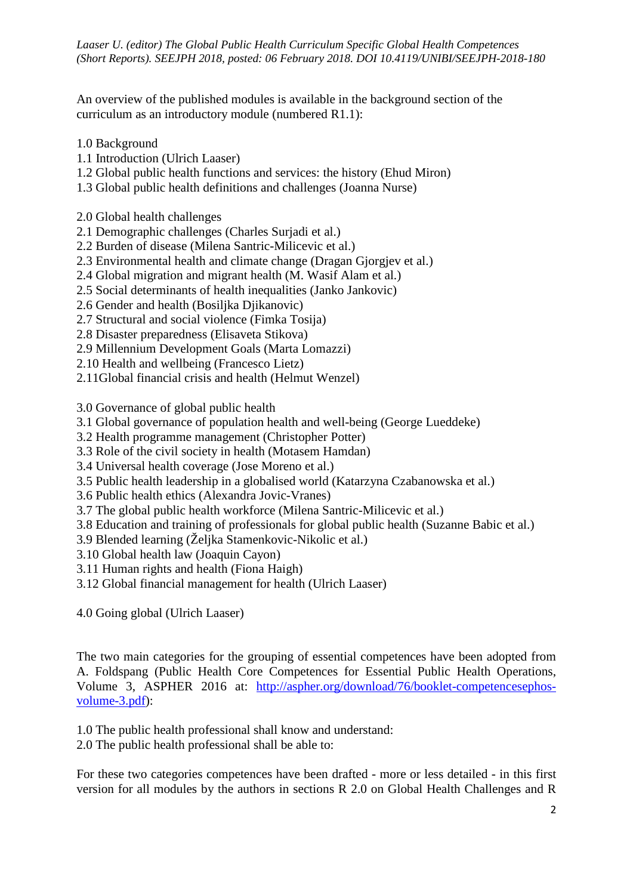An overview of the published modules is available in the background section of the curriculum as an introductory module (numbered R1.1):

- 1.0 Background
- 1.1 Introduction (Ulrich Laaser)
- 1.2 Global public health functions and services: the history (Ehud Miron)
- 1.3 Global public health definitions and challenges (Joanna Nurse)
- 2.0 Global health challenges
- 2.1 Demographic challenges (Charles Surjadi et al.)
- 2.2 Burden of disease (Milena Santric-Milicevic et al.)
- 2.3 Environmental health and climate change (Dragan Gjorgjev et al.)
- 2.4 Global migration and migrant health (M. Wasif Alam et al.)
- 2.5 Social determinants of health inequalities (Janko Jankovic)
- 2.6 Gender and health (Bosiljka Djikanovic)
- 2.7 Structural and social violence (Fimka Tosija)
- 2.8 Disaster preparedness (Elisaveta Stikova)
- 2.9 Millennium Development Goals (Marta Lomazzi)
- 2.10 Health and wellbeing (Francesco Lietz)
- 2.11Global financial crisis and health (Helmut Wenzel)

3.0 Governance of global public health

- 3.1 Global governance of population health and well-being (George Lueddeke)
- 3.2 Health programme management (Christopher Potter)
- 3.3 Role of the civil society in health (Motasem Hamdan)
- 3.4 Universal health coverage (Jose Moreno et al.)
- 3.5 Public health leadership in a globalised world (Katarzyna Czabanowska et al.)
- 3.6 Public health ethics (Alexandra Jovic-Vranes)
- 3.7 The global public health workforce (Milena Santric-Milicevic et al.)
- 3.8 Education and training of professionals for global public health (Suzanne Babic et al.)
- 3.9 Blended learning (Željka Stamenkovic-Nikolic et al.)
- 3.10 Global health law (Joaquin Cayon)
- 3.11 Human rights and health (Fiona Haigh)
- 3.12 Global financial management for health (Ulrich Laaser)

4.0 Going global (Ulrich Laaser)

The two main categories for the grouping of essential competences have been adopted from A. Foldspang (Public Health Core Competences for Essential Public Health Operations, Volume 3, ASPHER 2016 at: [http://aspher.org/download/76/booklet-competencesephos](http://aspher.org/download/76/booklet-competencesephos-volume-3.pdf)[volume-3.pdf\)](http://aspher.org/download/76/booklet-competencesephos-volume-3.pdf):

1.0 The public health professional shall know and understand:

2.0 The public health professional shall be able to:

For these two categories competences have been drafted - more or less detailed - in this first version for all modules by the authors in sections R 2.0 on Global Health Challenges and R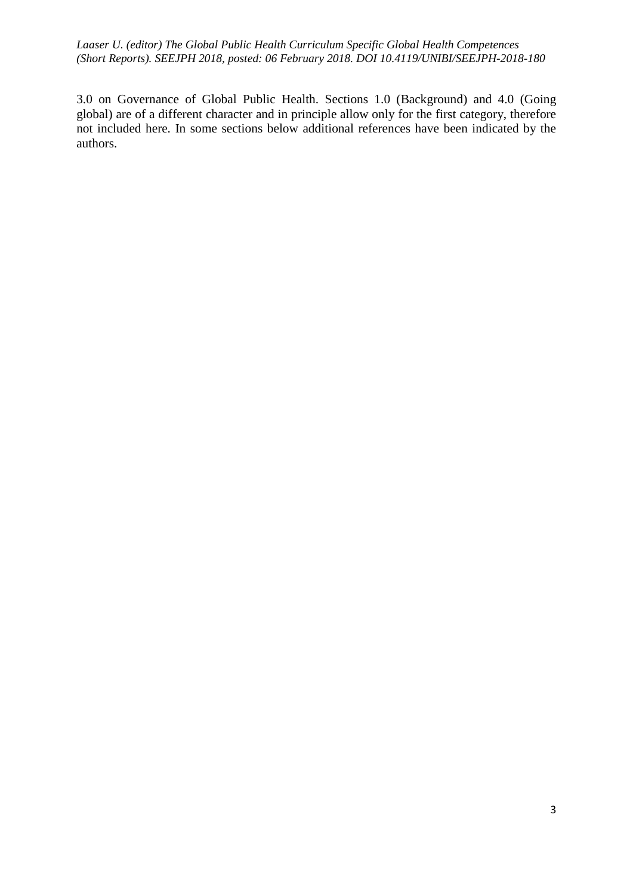*Laaser U. (editor) The Global Public Health Curriculum Specific Global Health Competences (Short Reports). SEEJPH 2018, posted: 06 February 2018. DOI 10.4119/UNIBI/SEEJPH-2018-180*

3.0 on Governance of Global Public Health. Sections 1.0 (Background) and 4.0 (Going global) are of a different character and in principle allow only for the first category, therefore not included here. In some sections below additional references have been indicated by the authors.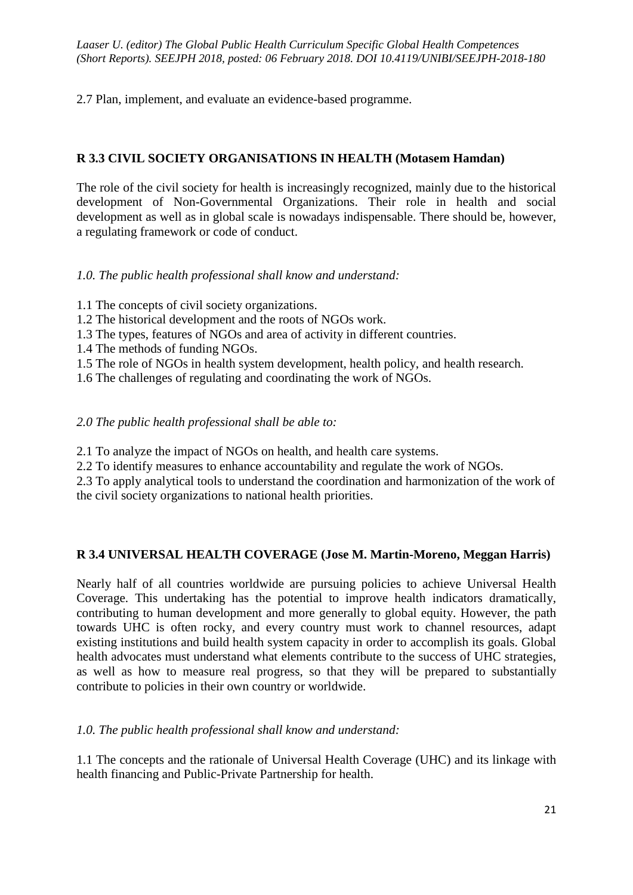2.7 Plan, implement, and evaluate an evidence-based programme.

# **R 3.3 CIVIL SOCIETY ORGANISATIONS IN HEALTH (Motasem Hamdan)**

The role of the civil society for health is increasingly recognized, mainly due to the historical development of Non-Governmental Organizations. Their role in health and social development as well as in global scale is nowadays indispensable. There should be, however, a regulating framework or code of conduct.

# *1.0. The public health professional shall know and understand:*

- 1.1 The concepts of civil society organizations.
- 1.2 The historical development and the roots of NGOs work.
- 1.3 The types, features of NGOs and area of activity in different countries.
- 1.4 The methods of funding NGOs.
- 1.5 The role of NGOs in health system development, health policy, and health research.
- 1.6 The challenges of regulating and coordinating the work of NGOs.

### *2.0 The public health professional shall be able to:*

2.1 To analyze the impact of NGOs on health, and health care systems.

2.2 To identify measures to enhance accountability and regulate the work of NGOs.

2.3 To apply analytical tools to understand the coordination and harmonization of the work of the civil society organizations to national health priorities.

# **R 3.4 UNIVERSAL HEALTH COVERAGE (Jose M. Martin-Moreno, Meggan Harris)**

Nearly half of all countries worldwide are pursuing policies to achieve Universal Health Coverage. This undertaking has the potential to improve health indicators dramatically, contributing to human development and more generally to global equity. However, the path towards UHC is often rocky, and every country must work to channel resources, adapt existing institutions and build health system capacity in order to accomplish its goals. Global health advocates must understand what elements contribute to the success of UHC strategies, as well as how to measure real progress, so that they will be prepared to substantially contribute to policies in their own country or worldwide.

# *1.0. The public health professional shall know and understand:*

1.1 The concepts and the rationale of Universal Health Coverage (UHC) and its linkage with health financing and Public-Private Partnership for health.